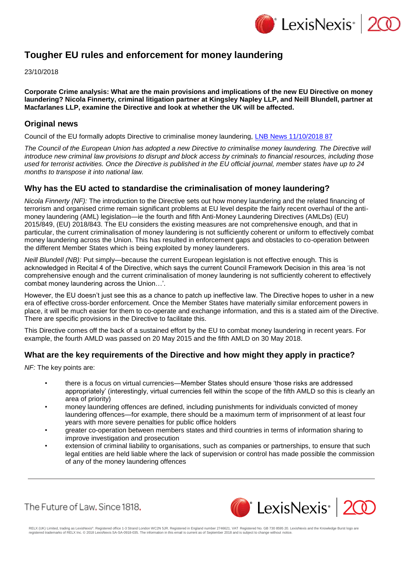

# **Tougher EU rules and enforcement for money laundering**

23/10/2018

**Corporate Crime analysis: What are the main provisions and implications of the new EU Directive on money laundering? Nicola Finnerty, criminal litigation partner at Kingsley Napley LLP, and Neill Blundell, partner at Macfarlanes LLP, examine the Directive and look at whether the UK will be affected.**

### **Original news**

Council of the EU formally adopts Directive to criminalise money laundering, [LNB News 11/10/2018 87](https://www.lexisnexis.com/uk/lexispsl/corporatecrime/linkHandler.faces?ps=null&bct=A&homeCsi=412012&A=0.8396136288478583&urlEnc=ISO-8859-1&&remotekey1=DIGEST-CITATION(LNB%20News%2011/10/2018%2087)&remotekey2=All%20Subscribed%20Current%20Awareness%20Sources&dpsi=0S4D&cmd=f:exp&service=QUERY&origdpsi=0S4D)

The Council of the European Union has adopted a new Directive to criminalise money laundering. The Directive will *introduce new criminal law provisions to disrupt and block access by criminals to financial resources, including those used for terrorist activities. Once the Directive is published in the EU official journal, member states have up to 24 months to transpose it into national law.*

#### **Why has the EU acted to standardise the criminalisation of money laundering?**

*Nicola Finnerty (NF):* The introduction to the Directive sets out how money laundering and the related financing of terrorism and organised crime remain significant problems at EU level despite the fairly recent overhaul of the antimoney laundering (AML) legislation—ie the fourth and fifth Anti-Money Laundering Directives (AMLDs) (EU) 2015/849, (EU) 2018/843. The EU considers the existing measures are not comprehensive enough, and that in particular, the current criminalisation of money laundering is not sufficiently coherent or uniform to effectively combat money laundering across the Union. This has resulted in enforcement gaps and obstacles to co-operation between the different Member States which is being exploited by money launderers.

*Neill Blundell (NB):* Put simply—because the current European legislation is not effective enough. This is acknowledged in Recital 4 of the Directive, which says the current Council Framework Decision in this area 'is not comprehensive enough and the current criminalisation of money laundering is not sufficiently coherent to effectively combat money laundering across the Union…'.

However, the EU doesn't just see this as a chance to patch up ineffective law. The Directive hopes to usher in a new era of effective cross-border enforcement. Once the Member States have materially similar enforcement powers in place, it will be much easier for them to co-operate and exchange information, and this is a stated aim of the Directive. There are specific provisions in the Directive to facilitate this.

This Directive comes off the back of a sustained effort by the EU to combat money laundering in recent years. For example, the fourth AMLD was passed on 20 May 2015 and the fifth AMLD on 30 May 2018.

## **What are the key requirements of the Directive and how might they apply in practice?**

*NF:* The key points are:

- there is a focus on virtual currencies—Member States should ensure 'those risks are addressed appropriately' (interestingly, virtual currencies fell within the scope of the fifth AMLD so this is clearly an area of priority)
- money laundering offences are defined, including punishments for individuals convicted of money laundering offences—for example, there should be a maximum term of imprisonment of at least four years with more severe penalties for public office holders
- greater co-operation between members states and third countries in terms of information sharing to improve investigation and prosecution
- extension of criminal liability to organisations, such as companies or partnerships, to ensure that such legal entities are held liable where the lack of supervision or control has made possible the commission of any of the money laundering offences





RELX (UK) Limited, trading as LexisNexis®. Registered office 1-3 Strand London WC2N 5JR. Registered in England number 2746621. VAT Registered No. GB 730 8595 20. LexisNexis and the Knowledge Burst logo are<br>registered trade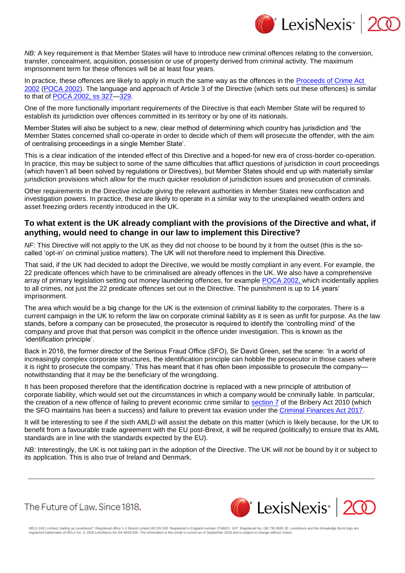

*NB:* A key requirement is that Member States will have to introduce new criminal offences relating to the conversion, transfer, concealment, acquisition, possession or use of property derived from criminal activity. The maximum imprisonment term for these offences will be at least four years.

In practice, these offences are likely to apply in much the same way as the offences in the [Proceeds of Crime Act](https://www.lexisnexis.com/uk/lexispsl/corporatecrime/citationlinkHandler.faces?bct=A&service=citation&risb=&UK_ACTS&$num!%252002_29a_Title%25)  [2002](https://www.lexisnexis.com/uk/lexispsl/corporatecrime/citationlinkHandler.faces?bct=A&service=citation&risb=&UK_ACTS&$num!%252002_29a_Title%25) [\(POCA 2002\)](https://www.lexisnexis.com/uk/lexispsl/corporatecrime/citationlinkHandler.faces?bct=A&service=citation&risb=&UK_ACTS&$num!%252002_29a_Title%25). The language and approach of Article 3 of the Directive (which sets out these offences) is similar to that of [POCA 2002, ss 327—](https://www.lexisnexis.com/uk/lexispsl/corporatecrime/citationlinkHandler.faces?bct=A&service=citation&risb=&UK_ACTS&$num!%252002_29a%25$section!%25327%25$sect!%25327%25)[329.](https://www.lexisnexis.com/uk/lexispsl/corporatecrime/citationlinkHandler.faces?bct=A&service=citation&risb=&UK_ACTS&$num!%252002_29a%25$section!%25329%25$sect!%25329%25)

One of the more functionally important requirements of the Directive is that each Member State will be required to establish its jurisdiction over offences committed in its territory or by one of its nationals.

Member States will also be subject to a new, clear method of determining which country has jurisdiction and 'the Member States concerned shall co-operate in order to decide which of them will prosecute the offender, with the aim of centralising proceedings in a single Member State'.

This is a clear indication of the intended effect of this Directive and a hoped-for new era of cross-border co-operation. In practice, this may be subject to some of the same difficulties that afflict questions of jurisdiction in court proceedings (which haven't all been solved by regulations or Directives), but Member States should end up with materially similar jurisdiction provisions which allow for the much quicker resolution of jurisdiction issues and prosecution of criminals.

Other requirements in the Directive include giving the relevant authorities in Member States new confiscation and investigation powers. In practice, these are likely to operate in a similar way to the unexplained wealth orders and asset freezing orders recently introduced in the UK.

#### **To what extent is the UK already compliant with the provisions of the Directive and what, if anything, would need to change in our law to implement this Directive?**

*NF:* This Directive will not apply to the UK as they did not choose to be bound by it from the outset (this is the socalled 'opt-in' on criminal justice matters). The UK will not therefore need to implement this Directive.

That said, if the UK had decided to adopt the Directive, we would be mostly compliant in any event. For example, the 22 predicate offences which have to be criminalised are already offences in the UK. We also have a comprehensive array of primary legislation setting out money laundering offences, for example [POCA 2002, w](https://www.lexisnexis.com/uk/lexispsl/corporatecrime/citationlinkHandler.faces?bct=A&service=citation&risb=&UK_ACTS&$num!%252002_29a_Title%25)hich incidentally applies to all crimes, not just the 22 predicate offences set out in the Directive. The punishment is up to 14 years' imprisonment.

The area which would be a big change for the UK is the extension of criminal liability to the corporates. There is a current campaign in the UK to reform the law on corporate criminal liability as it is seen as unfit for purpose. As the law stands, before a company can be prosecuted, the prosecutor is required to identify the 'controlling mind' of the company and prove that that person was complicit in the offence under investigation. This is known as the 'identification principle'.

Back in 2016, the former director of the Serious Fraud Office (SFO), Sir David Green, set the scene: 'In a world of increasingly complex corporate structures, the identification principle can hobble the prosecutor in those cases where it is right to prosecute the company.' This has meant that it has often been impossible to prosecute the companynotwithstanding that it may be the beneficiary of the wrongdoing.

It has been proposed therefore that the identification doctrine is replaced with a new principle of attribution of corporate liability, which would set out the circumstances in which a company would be criminally liable. In particular, the creation of a new offence of failing to prevent economic crime similar to [section 7](https://www.lexisnexis.com/uk/lexispsl/corporatecrime/citationlinkHandler.faces?bct=A&service=citation&risb=&UK_ACTS&$num!%252010_23a%25$section!%257%25$sect!%257%25) of the Bribery Act 2010 (which the SFO maintains has been a success) and failure to prevent tax evasion under the [Criminal Finances Act 2017.](https://www.lexisnexis.com/uk/lexispsl/corporatecrime/citationlinkHandler.faces?bct=A&service=citation&risb=&UK_ACTS&$num!%252017_22a_Title%25)

It will be interesting to see if the sixth AMLD will assist the debate on this matter (which is likely because, for the UK to benefit from a favourable trade agreement with the EU post-Brexit, it will be required (politically) to ensure that its AML standards are in line with the standards expected by the EU).

*NB:* Interestingly, the UK is not taking part in the adoption of the Directive. The UK will not be bound by it or subject to its application. This is also true of Ireland and Denmark.

The Future of Law, Since 1818.



RELX (UK) Limited, trading as LexisNexis®. Registered office 1-3 Strand London WC2N 5JR. Registered in England number 2746621. VAT Registered No. GB 730 8595 20. LexisNexis and the Knowledge Burst logo are<br>registered trade